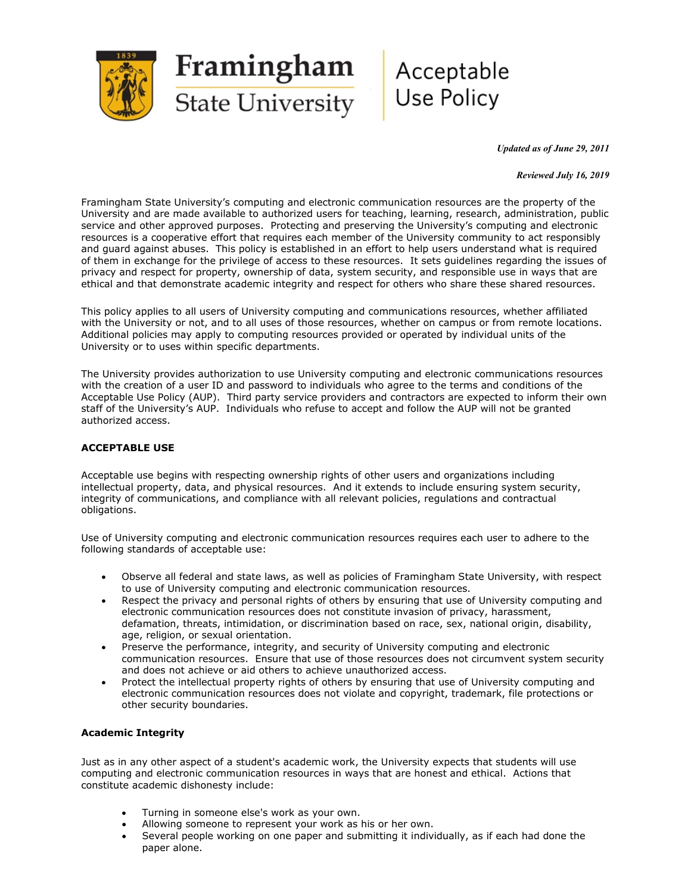

#### *Updated as of June 29, 2011*

#### *Reviewed July 16, 2019*

Framingham State University's computing and electronic communication resources are the property of the University and are made available to authorized users for teaching, learning, research, administration, public service and other approved purposes. Protecting and preserving the University's computing and electronic resources is a cooperative effort that requires each member of the University community to act responsibly and guard against abuses. This policy is established in an effort to help users understand what is required of them in exchange for the privilege of access to these resources. It sets guidelines regarding the issues of privacy and respect for property, ownership of data, system security, and responsible use in ways that are ethical and that demonstrate academic integrity and respect for others who share these shared resources.

This policy applies to all users of University computing and communications resources, whether affiliated with the University or not, and to all uses of those resources, whether on campus or from remote locations. Additional policies may apply to computing resources provided or operated by individual units of the University or to uses within specific departments.

The University provides authorization to use University computing and electronic communications resources with the creation of a user ID and password to individuals who agree to the terms and conditions of the Acceptable Use Policy (AUP). Third party service providers and contractors are expected to inform their own staff of the University's AUP. Individuals who refuse to accept and follow the AUP will not be granted authorized access.

## **ACCEPTABLE USE**

Acceptable use begins with respecting ownership rights of other users and organizations including intellectual property, data, and physical resources. And it extends to include ensuring system security, integrity of communications, and compliance with all relevant policies, regulations and contractual obligations.

Use of University computing and electronic communication resources requires each user to adhere to the following standards of acceptable use:

- Observe all federal and state laws, as well as policies of Framingham State University, with respect to use of University computing and electronic communication resources.
- Respect the privacy and personal rights of others by ensuring that use of University computing and electronic communication resources does not constitute invasion of privacy, harassment, defamation, threats, intimidation, or discrimination based on race, sex, national origin, disability, age, religion, or sexual orientation.
- Preserve the performance, integrity, and security of University computing and electronic communication resources. Ensure that use of those resources does not circumvent system security and does not achieve or aid others to achieve unauthorized access.
- Protect the intellectual property rights of others by ensuring that use of University computing and electronic communication resources does not violate and copyright, trademark, file protections or other security boundaries.

## **Academic Integrity**

Just as in any other aspect of a student's academic work, the University expects that students will use computing and electronic communication resources in ways that are honest and ethical. Actions that constitute academic dishonesty include:

- Turning in someone else's work as your own.
- Allowing someone to represent your work as his or her own.
- Several people working on one paper and submitting it individually, as if each had done the paper alone.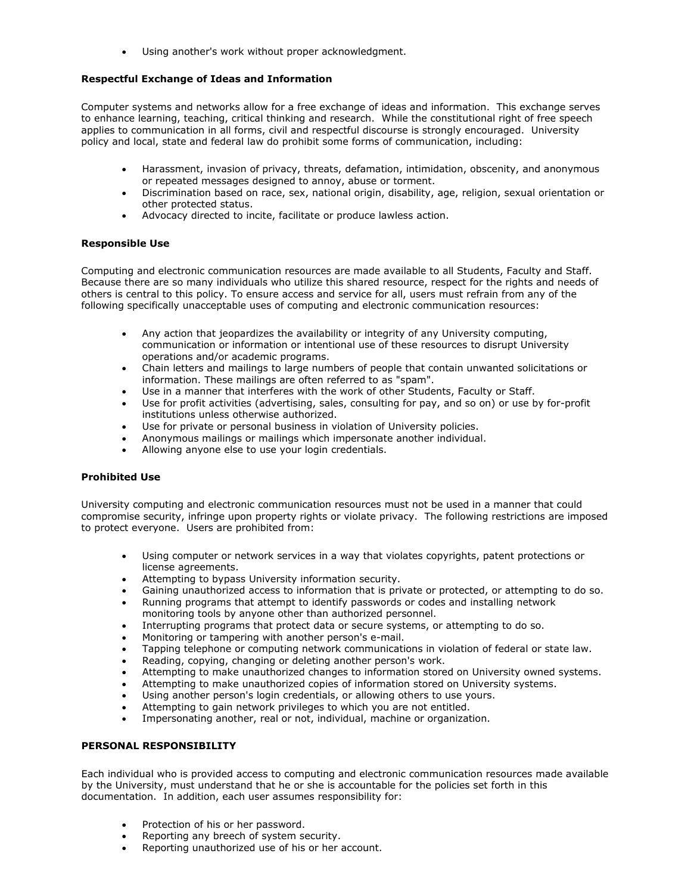Using another's work without proper acknowledgment.

## **Respectful Exchange of Ideas and Information**

Computer systems and networks allow for a free exchange of ideas and information. This exchange serves to enhance learning, teaching, critical thinking and research. While the constitutional right of free speech applies to communication in all forms, civil and respectful discourse is strongly encouraged. University policy and local, state and federal law do prohibit some forms of communication, including:

- Harassment, invasion of privacy, threats, defamation, intimidation, obscenity, and anonymous or repeated messages designed to annoy, abuse or torment.
- Discrimination based on race, sex, national origin, disability, age, religion, sexual orientation or other protected status.
- Advocacy directed to incite, facilitate or produce lawless action.

## **Responsible Use**

Computing and electronic communication resources are made available to all Students, Faculty and Staff. Because there are so many individuals who utilize this shared resource, respect for the rights and needs of others is central to this policy. To ensure access and service for all, users must refrain from any of the following specifically unacceptable uses of computing and electronic communication resources:

- Any action that jeopardizes the availability or integrity of any University computing, communication or information or intentional use of these resources to disrupt University operations and/or academic programs.
- Chain letters and mailings to large numbers of people that contain unwanted solicitations or information. These mailings are often referred to as "spam".
- Use in a manner that interferes with the work of other Students, Faculty or Staff.
- Use for profit activities (advertising, sales, consulting for pay, and so on) or use by for-profit institutions unless otherwise authorized.
- Use for private or personal business in violation of University policies.
- Anonymous mailings or mailings which impersonate another individual.
- Allowing anyone else to use your login credentials.

## **Prohibited Use**

University computing and electronic communication resources must not be used in a manner that could compromise security, infringe upon property rights or violate privacy. The following restrictions are imposed to protect everyone. Users are prohibited from:

- Using computer or network services in a way that violates copyrights, patent protections or license agreements.
- Attempting to bypass University information security.
- Gaining unauthorized access to information that is private or protected, or attempting to do so.
- Running programs that attempt to identify passwords or codes and installing network monitoring tools by anyone other than authorized personnel.
- Interrupting programs that protect data or secure systems, or attempting to do so.
- Monitoring or tampering with another person's e-mail.
- Tapping telephone or computing network communications in violation of federal or state law.
- Reading, copying, changing or deleting another person's work.
- Attempting to make unauthorized changes to information stored on University owned systems.
- Attempting to make unauthorized copies of information stored on University systems.
- Using another person's login credentials, or allowing others to use yours.
- Attempting to gain network privileges to which you are not entitled.
- Impersonating another, real or not, individual, machine or organization.

# **PERSONAL RESPONSIBILITY**

Each individual who is provided access to computing and electronic communication resources made available by the University, must understand that he or she is accountable for the policies set forth in this documentation. In addition, each user assumes responsibility for:

- Protection of his or her password.
- Reporting any breech of system security.
- Reporting unauthorized use of his or her account.